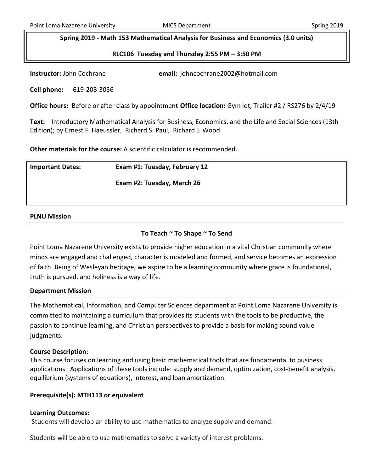**Spring 2019 - Math 153 Mathematical Analysis for Business and Economics (3.0 units)**

**RLC106 Tuesday and Thursday 2:55 PM – 3:50 PM**

**Instructor:** John Cochrane **email:** johncochrane2002@hotmail.com

**Cell phone:** 619-208-3056

**Office hours:** Before or after class by appointment **Office location:** Gym lot, Trailer #2 / RS276 by 2/4/19

**Text:** Introductory Mathematical Analysis for Business, Economics, and the Life and Social Sciences (13th Edition); b[y Ernest F. Haeussler,](http://www.valorebooks.com/author/Ernest+F.+Haeussler) [Richard S. Paul,](http://www.valorebooks.com/author/Richard+S.+Paul) [Richard J. Wood](http://www.valorebooks.com/author/Richard+J.+Wood)

**Other materials for the course:** A scientific calculator is recommended.

| <b>Important Dates:</b> | Exam #1: Tuesday, February 12 |
|-------------------------|-------------------------------|
|                         | Exam #2: Tuesday, March 26    |
|                         |                               |

# **PLNU Mission**

# **To Teach ~ To Shape ~ To Send**

Point Loma Nazarene University exists to provide higher education in a vital Christian community where minds are engaged and challenged, character is modeled and formed, and service becomes an expression of faith. Being of Wesleyan heritage, we aspire to be a learning community where grace is foundational, truth is pursued, and holiness is a way of life.

# **Department Mission**

The Mathematical, Information, and Computer Sciences department at Point Loma Nazarene University is committed to maintaining a curriculum that provides its students with the tools to be productive, the passion to continue learning, and Christian perspectives to provide a basis for making sound value judgments.

# **Course Description:**

This course focuses on learning and using basic mathematical tools that are fundamental to business applications. Applications of these tools include: supply and demand, optimization, cost-benefit analysis, equilibrium (systems of equations), interest, and loan amortization.

# **Prerequisite(s): MTH113 or equivalent**

# **Learning Outcomes:**

Students will develop an ability to use mathematics to analyze supply and demand.

Students will be able to use mathematics to solve a variety of interest problems.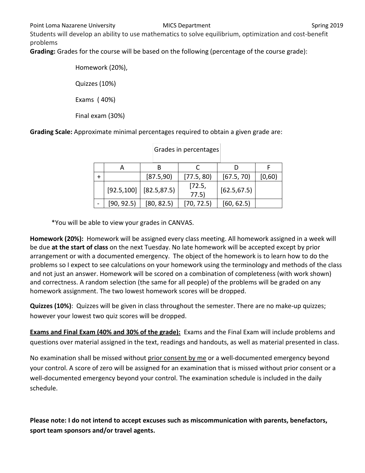Students will develop an ability to use mathematics to solve equilibrium, optimization and cost-benefit problems

**Grading:** Grades for the course will be based on the following (percentage of the course grade):

Homework (20%), Quizzes (10%) Exams ( 40%) Final exam (30%)

**Grading Scale:** Approximate minimal percentages required to obtain a given grade are:

|            | [87.5,90]                    | [77.5, 80]      | [67.5, 70]   | [0,60) |
|------------|------------------------------|-----------------|--------------|--------|
|            | $[92.5, 100]$ $[82.5, 87.5]$ | [72.5,<br>77.5) | [62.5, 67.5] |        |
| [90, 92.5] | [80, 82.5]                   | [70, 72.5]      | [60, 62.5]   |        |

# Grades in percentages

\*You will be able to view your grades in CANVAS.

**Homework (20%):** Homework will be assigned every class meeting. All homework assigned in a week will be due **at the start of class** on the next Tuesday. No late homework will be accepted except by prior arrangement or with a documented emergency. The object of the homework is to learn how to do the problems so I expect to see calculations on your homework using the terminology and methods of the class and not just an answer. Homework will be scored on a combination of completeness (with work shown) and correctness. A random selection (the same for all people) of the problems will be graded on any homework assignment. The two lowest homework scores will be dropped.

**Quizzes (10%)**: Quizzes will be given in class throughout the semester. There are no make-up quizzes; however your lowest two quiz scores will be dropped.

**Exams and Final Exam (40% and 30% of the grade):** Exams and the Final Exam will include problems and questions over material assigned in the text, readings and handouts, as well as material presented in class.

No examination shall be missed without prior consent by me or a well-documented emergency beyond your control. A score of zero will be assigned for an examination that is missed without prior consent or a well-documented emergency beyond your control. The examination schedule is included in the daily schedule.

**Please note: I do not intend to accept excuses such as miscommunication with parents, benefactors, sport team sponsors and/or travel agents.**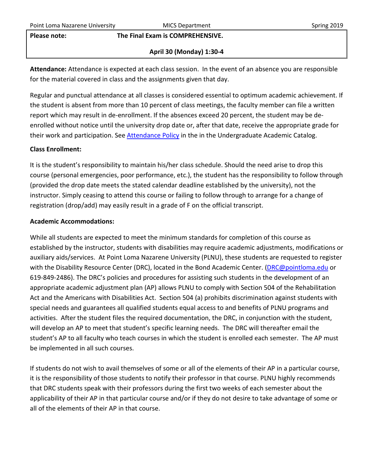### **Please note: The Final Exam is COMPREHENSIVE.**

# **April 30 (Monday) 1:30-4**

**Attendance:** Attendance is expected at each class session. In the event of an absence you are responsible for the material covered in class and the assignments given that day.

Regular and punctual attendance at all classes is considered essential to optimum academic achievement. If the student is absent from more than 10 percent of class meetings, the faculty member can file a written report which may result in de-enrollment. If the absences exceed 20 percent, the student may be deenrolled without notice until the university drop date or, after that date, receive the appropriate grade for their work and participation. See [Attendance Policy](https://catalog.pointloma.edu/content.php?catoid=28&navoid=1761#Class_Attendance) in the in the Undergraduate Academic Catalog.

# **Class Enrollment:**

It is the student's responsibility to maintain his/her class schedule. Should the need arise to drop this course (personal emergencies, poor performance, etc.), the student has the responsibility to follow through (provided the drop date meets the stated calendar deadline established by the university), not the instructor. Simply ceasing to attend this course or failing to follow through to arrange for a change of registration (drop/add) may easily result in a grade of F on the official transcript.

## **Academic Accommodations:**

While all students are expected to meet the minimum standards for completion of this course as established by the instructor, students with disabilities may require academic adjustments, modifications or auxiliary aids/services. At Point Loma Nazarene University (PLNU), these students are requested to register with the Disability Resource Center (DRC), located in the Bond Academic Center. [\(DRC@pointloma.edu](mailto:DRC@pointloma.edu) or 619-849-2486). The DRC's policies and procedures for assisting such students in the development of an appropriate academic adjustment plan (AP) allows PLNU to comply with Section 504 of the Rehabilitation Act and the Americans with Disabilities Act. Section 504 (a) prohibits discrimination against students with special needs and guarantees all qualified students equal access to and benefits of PLNU programs and activities. After the student files the required documentation, the DRC, in conjunction with the student, will develop an AP to meet that student's specific learning needs. The DRC will thereafter email the student's AP to all faculty who teach courses in which the student is enrolled each semester. The AP must be implemented in all such courses.

If students do not wish to avail themselves of some or all of the elements of their AP in a particular course, it is the responsibility of those students to notify their professor in that course. PLNU highly recommends that DRC students speak with their professors during the first two weeks of each semester about the applicability of their AP in that particular course and/or if they do not desire to take advantage of some or all of the elements of their AP in that course.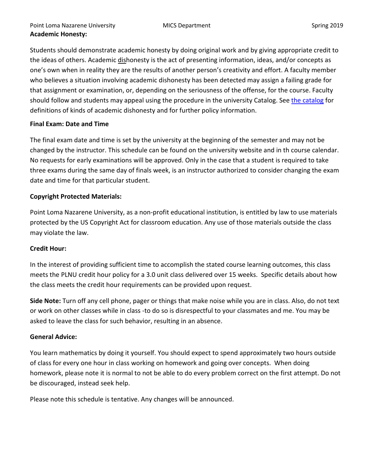Students should demonstrate academic honesty by doing original work and by giving appropriate credit to the ideas of others. Academic dishonesty is the act of presenting information, ideas, and/or concepts as one's own when in reality they are the results of another person's creativity and effort. A faculty member who believes a situation involving academic dishonesty has been detected may assign a failing grade for that assignment or examination, or, depending on the seriousness of the offense, for the course. Faculty should follow and students may appeal using the procedure in the university Catalog. Se[e the catalog](https://catalog.pointloma.edu/content.php?catoid=28&navoid=1761#Academic_Honesty) for definitions of kinds of academic dishonesty and for further policy information.

# **Final Exam: Date and Time**

The final exam date and time is set by the university at the beginning of the semester and may not be changed by the instructor. This schedule can be found on the university website and in th course calendar. No requests for early examinations will be approved. Only in the case that a student is required to take three exams during the same day of finals week, is an instructor authorized to consider changing the exam date and time for that particular student.

# **Copyright Protected Materials:**

Point Loma Nazarene University, as a non-profit educational institution, is entitled by law to use materials protected by the US Copyright Act for classroom education. Any use of those materials outside the class may violate the law.

# **Credit Hour:**

In the interest of providing sufficient time to accomplish the stated course learning outcomes, this class meets the PLNU credit hour policy for a 3.0 unit class delivered over 15 weeks. Specific details about how the class meets the credit hour requirements can be provided upon request.

**Side Note:** Turn off any cell phone, pager or things that make noise while you are in class. Also, do not text or work on other classes while in class -to do so is disrespectful to your classmates and me. You may be asked to leave the class for such behavior, resulting in an absence.

# **General Advice:**

You learn mathematics by doing it yourself. You should expect to spend approximately two hours outside of class for every one hour in class working on homework and going over concepts. When doing homework, please note it is normal to not be able to do every problem correct on the first attempt. Do not be discouraged, instead seek help.

Please note this schedule is tentative. Any changes will be announced.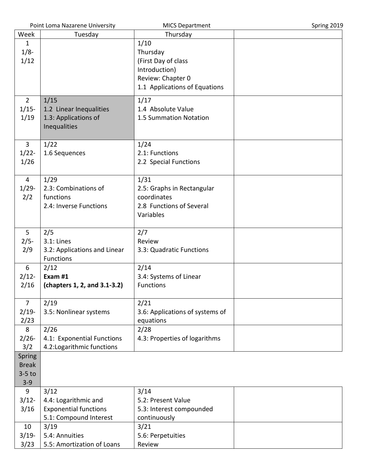| Point Loma Nazarene University |                              | <b>MICS Department</b>          | Spring 2019 |
|--------------------------------|------------------------------|---------------------------------|-------------|
| Week                           | Tuesday                      | Thursday                        |             |
| $\mathbf{1}$                   |                              | 1/10                            |             |
| $1/8 -$                        |                              | Thursday                        |             |
| 1/12                           |                              | (First Day of class             |             |
|                                |                              | Introduction)                   |             |
|                                |                              | Review: Chapter 0               |             |
|                                |                              |                                 |             |
|                                |                              | 1.1 Applications of Equations   |             |
| $2^{\circ}$                    | 1/15                         | 1/17                            |             |
| $1/15-$                        | 1.2 Linear Inequalities      | 1.4 Absolute Value              |             |
| 1/19                           | 1.3: Applications of         | 1.5 Summation Notation          |             |
|                                | Inequalities                 |                                 |             |
|                                |                              |                                 |             |
| 3                              | 1/22                         | 1/24                            |             |
| $1/22 -$                       | 1.6 Sequences                | 2.1: Functions                  |             |
| 1/26                           |                              | 2.2 Special Functions           |             |
|                                |                              |                                 |             |
| $\overline{4}$                 | 1/29                         | 1/31                            |             |
| $1/29 -$                       | 2.3: Combinations of         | 2.5: Graphs in Rectangular      |             |
| 2/2                            | functions                    | coordinates                     |             |
|                                | 2.4: Inverse Functions       | 2.8 Functions of Several        |             |
|                                |                              | Variables                       |             |
|                                |                              |                                 |             |
| 5 <sup>1</sup>                 | 2/5                          | 2/7                             |             |
| $2/5 -$                        | $3.1:$ Lines                 | Review                          |             |
| 2/9                            | 3.2: Applications and Linear | 3.3: Quadratic Functions        |             |
|                                | Functions                    |                                 |             |
| 6                              | 2/12                         | 2/14                            |             |
| $2/12$ -                       | Exam #1                      | 3.4: Systems of Linear          |             |
| 2/16                           | (chapters 1, 2, and 3.1-3.2) | <b>Functions</b>                |             |
|                                |                              |                                 |             |
| $\overline{7}$                 | 2/19                         | 2/21                            |             |
| $2/19-$                        | 3.5: Nonlinear systems       | 3.6: Applications of systems of |             |
| 2/23                           |                              | equations                       |             |
| 8                              | 2/26                         | 2/28                            |             |
| $2/26 -$                       | 4.1: Exponential Functions   | 4.3: Properties of logarithms   |             |
| 3/2                            | 4.2: Logarithmic functions   |                                 |             |
| Spring                         |                              |                                 |             |
| <b>Break</b>                   |                              |                                 |             |
| $3-5$ to                       |                              |                                 |             |
| $3 - 9$                        |                              |                                 |             |
| 9                              | 3/12                         | 3/14                            |             |
| 3/12                           | 4.4: Logarithmic and         | 5.2: Present Value              |             |
| 3/16                           | <b>Exponential functions</b> | 5.3: Interest compounded        |             |
|                                | 5.1: Compound Interest       | continuously                    |             |
| 10                             | 3/19                         | 3/21                            |             |
| $3/19-$                        | 5.4: Annuities               | 5.6: Perpetuities               |             |
| 3/23                           | 5.5: Amortization of Loans   | Review                          |             |
|                                |                              |                                 |             |